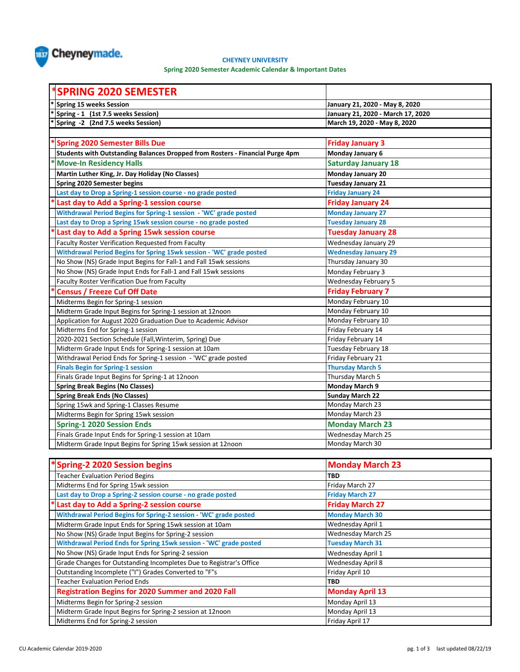

## **CHEYNEY UNIVERSITY**

**Spring 2020 Semester Academic Calendar & Important Dates**

| <b>SPRING 2020 SEMESTER</b>                                                   |                                   |
|-------------------------------------------------------------------------------|-----------------------------------|
| <b>Spring 15 weeks Session</b>                                                | January 21, 2020 - May 8, 2020    |
| Spring - 1 (1st 7.5 weeks Session)                                            | January 21, 2020 - March 17, 2020 |
| Spring -2 (2nd 7.5 weeks Session)                                             | March 19, 2020 - May 8, 2020      |
|                                                                               |                                   |
| *Spring 2020 Semester Bills Due                                               | <b>Friday January 3</b>           |
| Students with Outstanding Balances Dropped from Rosters - Financial Purge 4pm | Monday January 6                  |
| <b>Move-In Residency Halls</b>                                                | <b>Saturday January 18</b>        |
| Martin Luther King, Jr. Day Holiday (No Classes)                              | <b>Monday January 20</b>          |
| Spring 2020 Semester begins                                                   | Tuesday January 21                |
| Last day to Drop a Spring-1 session course - no grade posted                  | <b>Friday January 24</b>          |
| Last day to Add a Spring-1 session course                                     | <b>Friday January 24</b>          |
| Withdrawal Period Begins for Spring-1 session - 'WC' grade posted             | <b>Monday January 27</b>          |
| Last day to Drop a Spring 15wk session course - no grade posted               | <b>Tuesday January 28</b>         |
| Last day to Add a Spring 15wk session course                                  | <b>Tuesday January 28</b>         |
| Faculty Roster Verification Requested from Faculty                            | Wednesday January 29              |
| Withdrawal Period Begins for Spring 15wk session - 'WC' grade posted          | <b>Wednesday January 29</b>       |
| No Show (NS) Grade Input Begins for Fall-1 and Fall 15wk sessions             | Thursday January 30               |
| No Show (NS) Grade Input Ends for Fall-1 and Fall 15wk sessions               | Monday February 3                 |
| Faculty Roster Verification Due from Faculty                                  | Wednesday February 5              |
| <b>Census / Freeze Cuf Off Date</b>                                           | <b>Friday February 7</b>          |
| Midterms Begin for Spring-1 session                                           | Monday February 10                |
| Midterm Grade Input Begins for Spring-1 session at 12noon                     | Monday February 10                |
| Application for August 2020 Graduation Due to Academic Advisor                | Monday February 10                |
| Midterms End for Spring-1 session                                             | Friday February 14                |
| 2020-2021 Section Schedule (Fall, Winterim, Spring) Due                       | Friday February 14                |
| Midterm Grade Input Ends for Spring-1 session at 10am                         | Tuesday February 18               |
| Withdrawal Period Ends for Spring-1 session - 'WC' grade posted               | Friday February 21                |
| <b>Finals Begin for Spring-1 session</b>                                      | <b>Thursday March 5</b>           |
| Finals Grade Input Begins for Spring-1 at 12noon                              | Thursday March 5                  |
| <b>Spring Break Begins (No Classes)</b>                                       | <b>Monday March 9</b>             |
| <b>Spring Break Ends (No Classes)</b>                                         | <b>Sunday March 22</b>            |
| Spring 15wk and Spring-1 Classes Resume                                       | Monday March 23                   |
| Midterms Begin for Spring 15wk session                                        | Monday March 23                   |
| <b>Spring-1 2020 Session Ends</b>                                             | <b>Monday March 23</b>            |
| Finals Grade Input Ends for Spring-1 session at 10am                          | <b>Wednesday March 25</b>         |
| Midterm Grade Input Begins for Spring 15wk session at 12noon                  | Monday March 30                   |

| *Spring-2 2020 Session begins                                       | <b>Monday March 23</b>    |
|---------------------------------------------------------------------|---------------------------|
| <b>Teacher Evaluation Period Begins</b>                             | <b>TBD</b>                |
| Midterms End for Spring 15wk session                                | Friday March 27           |
| Last day to Drop a Spring-2 session course - no grade posted        | <b>Friday March 27</b>    |
| Last day to Add a Spring-2 session course                           | <b>Friday March 27</b>    |
| Withdrawal Period Begins for Spring-2 session - 'WC' grade posted   | <b>Monday March 30</b>    |
| Midterm Grade Input Ends for Spring 15wk session at 10am            | Wednesday April 1         |
| No Show (NS) Grade Input Begins for Spring-2 session                | <b>Wednesday March 25</b> |
| Withdrawal Period Ends for Spring 15wk session - 'WC' grade posted  | <b>Tuesday March 31</b>   |
| No Show (NS) Grade Input Ends for Spring-2 session                  | Wednesday April 1         |
| Grade Changes for Outstanding Incompletes Due to Registrar's Office | <b>Wednesday April 8</b>  |
| Outstanding Incomplete ("I") Grades Converted to "F"s               | Friday April 10           |
| <b>Teacher Evaluation Period Ends</b>                               | <b>TBD</b>                |
| <b>Registration Begins for 2020 Summer and 2020 Fall</b>            | <b>Monday April 13</b>    |
| Midterms Begin for Spring-2 session                                 | Monday April 13           |
| Midterm Grade Input Begins for Spring-2 session at 12noon           | Monday April 13           |
| Midterms End for Spring-2 session                                   | Friday April 17           |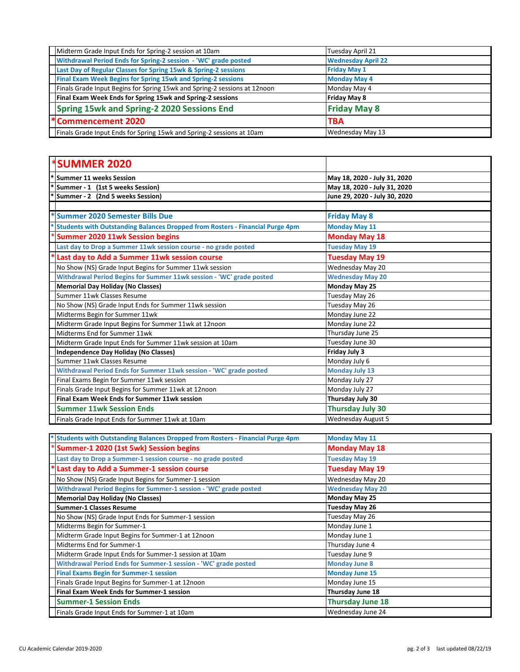| Midterm Grade Input Ends for Spring-2 session at 10am                     | Tuesday April 21          |
|---------------------------------------------------------------------------|---------------------------|
| Withdrawal Period Ends for Spring-2 session - 'WC' grade posted           | <b>Wednesday April 22</b> |
| Last Day of Regular Classes for Spring 15wk & Spring-2 sessions           | <b>Friday May 1</b>       |
| <b>Final Exam Week Begins for Spring 15wk and Spring-2 sessions</b>       | <b>Monday May 4</b>       |
| Finals Grade Input Begins for Spring 15wk and Spring-2 sessions at 12noon | Monday May 4              |
| Final Exam Week Ends for Spring 15wk and Spring-2 sessions                | <b>Friday May 8</b>       |
| Spring 15wk and Spring-2 2020 Sessions End                                | <b>Friday May 8</b>       |
| <b>*Commencement 2020</b>                                                 | <b>TBA</b>                |
| Finals Grade Input Ends for Spring 15wk and Spring-2 sessions at 10am     | Wednesday May 13          |

| <b>*SUMMER 2020</b>                                                           |                               |
|-------------------------------------------------------------------------------|-------------------------------|
| <b>Summer 11 weeks Session</b>                                                | May 18, 2020 - July 31, 2020  |
| Summer - 1 (1st 5 weeks Session)                                              | May 18, 2020 - July 31, 2020  |
| Summer - 2 (2nd 5 weeks Session)                                              | June 29, 2020 - July 30, 2020 |
|                                                                               |                               |
| *Summer 2020 Semester Bills Due                                               | <b>Friday May 8</b>           |
| Students with Outstanding Balances Dropped from Rosters - Financial Purge 4pm | <b>Monday May 11</b>          |
| <b>Summer 2020 11wk Session begins</b>                                        | <b>Monday May 18</b>          |
| Last day to Drop a Summer 11wk session course - no grade posted               | <b>Tuesday May 19</b>         |
| Last day to Add a Summer 11wk session course                                  | <b>Tuesday May 19</b>         |
| No Show (NS) Grade Input Begins for Summer 11wk session                       | Wednesday May 20              |
| Withdrawal Period Begins for Summer 11wk session - 'WC' grade posted          | <b>Wednesday May 20</b>       |
| <b>Memorial Day Holiday (No Classes)</b>                                      | Monday May 25                 |
| Summer 11wk Classes Resume                                                    | Tuesday May 26                |
| No Show (NS) Grade Input Ends for Summer 11wk session                         | Tuesday May 26                |
| Midterms Begin for Summer 11wk                                                | Monday June 22                |
| Midterm Grade Input Begins for Summer 11wk at 12noon                          | Monday June 22                |
| Midterms Fnd for Summer 11wk                                                  | Thursday June 25              |
| Midterm Grade Input Ends for Summer 11wk session at 10am                      | Tuesday June 30               |
| <b>Independence Day Holiday (No Classes)</b>                                  | <b>Friday July 3</b>          |
| Summer 11wk Classes Resume                                                    | Monday July 6                 |
| Withdrawal Period Ends for Summer 11wk session - 'WC' grade posted            | <b>Monday July 13</b>         |
| Final Exams Begin for Summer 11wk session                                     | Monday July 27                |
| Finals Grade Input Begins for Summer 11wk at 12noon                           | Monday July 27                |
| Final Exam Week Ends for Summer 11wk session                                  | Thursday July 30              |
| <b>Summer 11wk Session Ends</b>                                               | <b>Thursday July 30</b>       |
| Finals Grade Input Ends for Summer 11wk at 10am                               | <b>Wednesday August 5</b>     |

| * Students with Outstanding Balances Dropped from Rosters - Financial Purge 4pm | <b>Monday May 11</b>    |
|---------------------------------------------------------------------------------|-------------------------|
| Summer-1 2020 (1st 5wk) Session begins                                          | <b>Monday May 18</b>    |
| Last day to Drop a Summer-1 session course - no grade posted                    | <b>Tuesday May 19</b>   |
| Last day to Add a Summer-1 session course                                       | <b>Tuesday May 19</b>   |
| No Show (NS) Grade Input Begins for Summer-1 session                            | Wednesday May 20        |
| Withdrawal Period Begins for Summer-1 session - 'WC' grade posted               | <b>Wednesday May 20</b> |
| <b>Memorial Day Holiday (No Classes)</b>                                        | Monday May 25           |
| <b>Summer-1 Classes Resume</b>                                                  | Tuesday May 26          |
| No Show (NS) Grade Input Ends for Summer-1 session                              | Tuesday May 26          |
| Midterms Begin for Summer-1                                                     | Monday June 1           |
| Midterm Grade Input Begins for Summer-1 at 12noon                               | Monday June 1           |
| Midterms End for Summer-1                                                       | Thursday June 4         |
| Midterm Grade Input Ends for Summer-1 session at 10am                           | Tuesday June 9          |
| Withdrawal Period Ends for Summer-1 session - 'WC' grade posted                 | <b>Monday June 8</b>    |
| <b>Final Exams Begin for Summer-1 session</b>                                   | <b>Monday June 15</b>   |
| Finals Grade Input Begins for Summer-1 at 12noon                                | Monday June 15          |
| Final Exam Week Ends for Summer-1 session                                       | Thursday June 18        |
| <b>Summer-1 Session Ends</b>                                                    | Thursday June 18        |
| Finals Grade Input Ends for Summer-1 at 10am                                    | Wednesday June 24       |